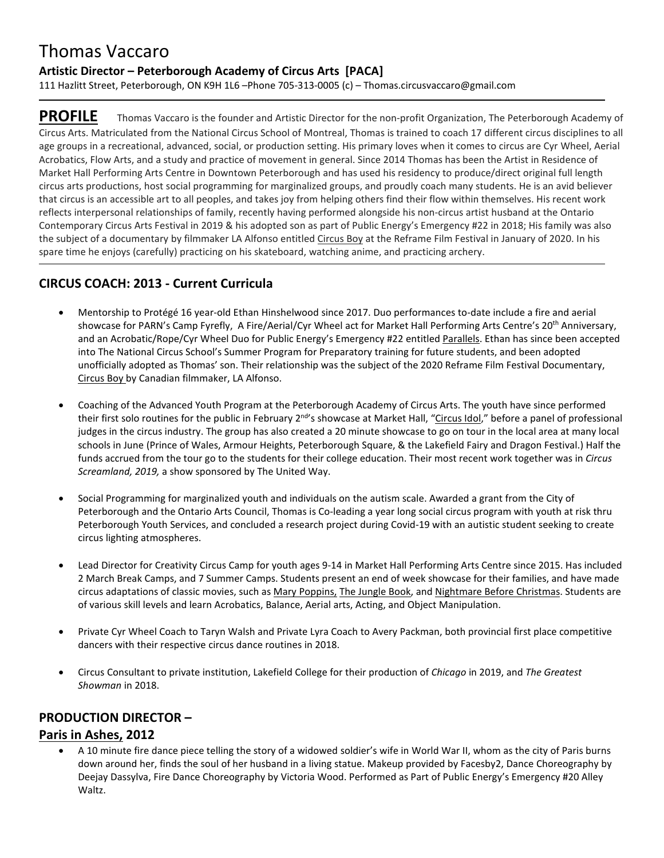# Thomas Vaccaro

#### **Artistic Director – Peterborough Academy of Circus Arts [PACA]**

111 Hazlitt Street, Peterborough, ON K9H 1L6 –Phone 705-313-0005 (c) – Thomas.circusvaccaro@gmail.com

**PROFILE** Thomas Vaccaro is the founder and Artistic Director for the non-profit Organization, The Peterborough Academy of Circus Arts. Matriculated from the National Circus School of Montreal, Thomas is trained to coach 17 different circus disciplines to all age groups in a recreational, advanced, social, or production setting. His primary loves when it comes to circus are Cyr Wheel, Aerial Acrobatics, Flow Arts, and a study and practice of movement in general. Since 2014 Thomas has been the Artist in Residence of Market Hall Performing Arts Centre in Downtown Peterborough and has used his residency to produce/direct original full length circus arts productions, host social programming for marginalized groups, and proudly coach many students. He is an avid believer that circus is an accessible art to all peoples, and takes joy from helping others find their flow within themselves. His recent work reflects interpersonal relationships of family, recently having performed alongside his non-circus artist husband at the Ontario Contemporary Circus Arts Festival in 2019 & his adopted son as part of Public Energy's Emergency #22 in 2018; His family was also the subject of a documentary by filmmaker LA Alfonso entitled Circus Boy at the Reframe Film Festival in January of 2020. In his spare time he enjoys (carefully) practicing on his skateboard, watching anime, and practicing archery.

### **CIRCUS COACH: 2013 - Current Curricula**

- Mentorship to Protégé 16 year-old Ethan Hinshelwood since 2017. Duo performances to-date include a fire and aerial showcase for PARN's Camp Fyrefly, A Fire/Aerial/Cyr Wheel act for Market Hall Performing Arts Centre's 20th Anniversary, and an Acrobatic/Rope/Cyr Wheel Duo for Public Energy's Emergency #22 entitled Parallels. Ethan has since been accepted into The National Circus School's Summer Program for Preparatory training for future students, and been adopted unofficially adopted as Thomas' son. Their relationship was the subject of the 2020 Reframe Film Festival Documentary, Circus Boy by Canadian filmmaker, LA Alfonso.
- Coaching of the Advanced Youth Program at the Peterborough Academy of Circus Arts. The youth have since performed their first solo routines for the public in February 2<sup>nd</sup>'s showcase at Market Hall, "Circus Idol," before a panel of professional judges in the circus industry. The group has also created a 20 minute showcase to go on tour in the local area at many local schools in June (Prince of Wales, Armour Heights, Peterborough Square, & the Lakefield Fairy and Dragon Festival.) Half the funds accrued from the tour go to the students for their college education. Their most recent work together was in *Circus Screamland, 2019,* a show sponsored by The United Way.
- Social Programming for marginalized youth and individuals on the autism scale. Awarded a grant from the City of Peterborough and the Ontario Arts Council, Thomas is Co-leading a year long social circus program with youth at risk thru Peterborough Youth Services, and concluded a research project during Covid-19 with an autistic student seeking to create circus lighting atmospheres.
- Lead Director for Creativity Circus Camp for youth ages 9-14 in Market Hall Performing Arts Centre since 2015. Has included 2 March Break Camps, and 7 Summer Camps. Students present an end of week showcase for their families, and have made circus adaptations of classic movies, such as Mary Poppins, The Jungle Book, and Nightmare Before Christmas. Students are of various skill levels and learn Acrobatics, Balance, Aerial arts, Acting, and Object Manipulation.
- Private Cyr Wheel Coach to Taryn Walsh and Private Lyra Coach to Avery Packman, both provincial first place competitive dancers with their respective circus dance routines in 2018.
- Circus Consultant to private institution, Lakefield College for their production of *Chicago* in 2019, and *The Greatest Showman* in 2018.

#### **PRODUCTION DIRECTOR –**

#### **Paris in Ashes, 2012**

 A 10 minute fire dance piece telling the story of a widowed soldier's wife in World War II, whom as the city of Paris burns down around her, finds the soul of her husband in a living statue. Makeup provided by Facesby2, Dance Choreography by Deejay Dassylva, Fire Dance Choreography by Victoria Wood. Performed as Part of Public Energy's Emergency #20 Alley Waltz.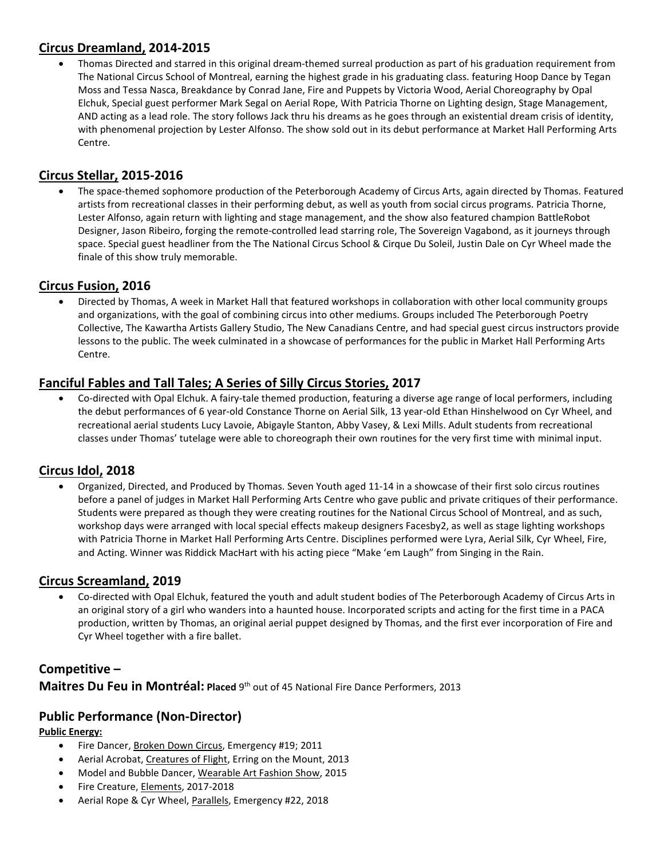#### **Circus Dreamland, 2014-2015**

 Thomas Directed and starred in this original dream-themed surreal production as part of his graduation requirement from The National Circus School of Montreal, earning the highest grade in his graduating class. featuring Hoop Dance by Tegan Moss and Tessa Nasca, Breakdance by Conrad Jane, Fire and Puppets by Victoria Wood, Aerial Choreography by Opal Elchuk, Special guest performer Mark Segal on Aerial Rope, With Patricia Thorne on Lighting design, Stage Management, AND acting as a lead role. The story follows Jack thru his dreams as he goes through an existential dream crisis of identity, with phenomenal projection by Lester Alfonso. The show sold out in its debut performance at Market Hall Performing Arts Centre.

#### **Circus Stellar, 2015-2016**

 The space-themed sophomore production of the Peterborough Academy of Circus Arts, again directed by Thomas. Featured artists from recreational classes in their performing debut, as well as youth from social circus programs. Patricia Thorne, Lester Alfonso, again return with lighting and stage management, and the show also featured champion BattleRobot Designer, Jason Ribeiro, forging the remote-controlled lead starring role, The Sovereign Vagabond, as it journeys through space. Special guest headliner from the The National Circus School & Cirque Du Soleil, Justin Dale on Cyr Wheel made the finale of this show truly memorable.

#### **Circus Fusion, 2016**

 Directed by Thomas, A week in Market Hall that featured workshops in collaboration with other local community groups and organizations, with the goal of combining circus into other mediums. Groups included The Peterborough Poetry Collective, The Kawartha Artists Gallery Studio, The New Canadians Centre, and had special guest circus instructors provide lessons to the public. The week culminated in a showcase of performances for the public in Market Hall Performing Arts Centre.

### **Fanciful Fables and Tall Tales; A Series of Silly Circus Stories, 2017**

 Co-directed with Opal Elchuk. A fairy-tale themed production, featuring a diverse age range of local performers, including the debut performances of 6 year-old Constance Thorne on Aerial Silk, 13 year-old Ethan Hinshelwood on Cyr Wheel, and recreational aerial students Lucy Lavoie, Abigayle Stanton, Abby Vasey, & Lexi Mills. Adult students from recreational classes under Thomas' tutelage were able to choreograph their own routines for the very first time with minimal input.

# **Circus Idol, 2018**

 Organized, Directed, and Produced by Thomas. Seven Youth aged 11-14 in a showcase of their first solo circus routines before a panel of judges in Market Hall Performing Arts Centre who gave public and private critiques of their performance. Students were prepared as though they were creating routines for the National Circus School of Montreal, and as such, workshop days were arranged with local special effects makeup designers Facesby2, as well as stage lighting workshops with Patricia Thorne in Market Hall Performing Arts Centre. Disciplines performed were Lyra, Aerial Silk, Cyr Wheel, Fire, and Acting. Winner was Riddick MacHart with his acting piece "Make 'em Laugh" from Singing in the Rain.

#### **Circus Screamland, 2019**

 Co-directed with Opal Elchuk, featured the youth and adult student bodies of The Peterborough Academy of Circus Arts in an original story of a girl who wanders into a haunted house. Incorporated scripts and acting for the first time in a PACA production, written by Thomas, an original aerial puppet designed by Thomas, and the first ever incorporation of Fire and Cyr Wheel together with a fire ballet.

#### **Competitive –**

Maitres Du Feu in Montréal: Placed 9<sup>th</sup> out of 45 National Fire Dance Performers, 2013

#### **Public Performance (Non-Director)**

#### **Public Energy:**

- Fire Dancer, Broken Down Circus, Emergency #19; 2011
- Aerial Acrobat, Creatures of Flight, Erring on the Mount, 2013
- Model and Bubble Dancer, Wearable Art Fashion Show, 2015
- Fire Creature, Elements, 2017-2018
- Aerial Rope & Cyr Wheel, Parallels, Emergency #22, 2018